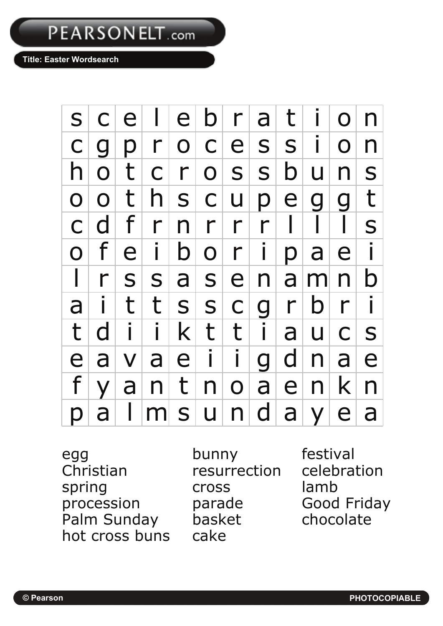## PEARSONELT.com

**Title: Easter Wordsearch** 

s c e l e b r a t i o n  $c|g|p|r|o|c|e|s|s|i|o|n$  $h|o|t|c|r|o|s|s|b|u|n|s$  $o|o|$  t  $|h|$  s  $|c|$  u  $|p|$  e  $|g|$  g  $|t|$ c d f r n r r r l l l l s o fe iboripaei l | r | s | s | a | s | e | n | a | m | n | b a i t t s s c g r b r i t d i i k t t i a u c s e a v a e i i g d n a e f y a n t n o a e n k n  $p |a | I | m s | u | n | d | a | y | e | a$ 

egg bunny festival<br>Christian resurrection celebra spring cross lamb procession parade Good Friday<br>
Palm Sunday basket chocolate Palm Sunday basket hot cross buns cake

resurrection celebration